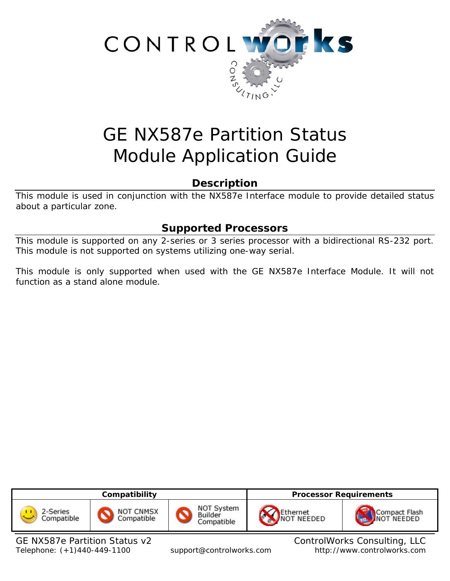

# GE NX587e Partition Status Module Application Guide

# **Description**

This module is used in conjunction with the NX587e Interface module to provide detailed status about a particular zone.

# **Supported Processors**

This module is supported on any 2-series or 3 series processor with a bidirectional RS-232 port. This module is not supported on systems utilizing one-way serial.

This module is only supported when used with the GE NX587e Interface Module. It will not function as a stand alone module.

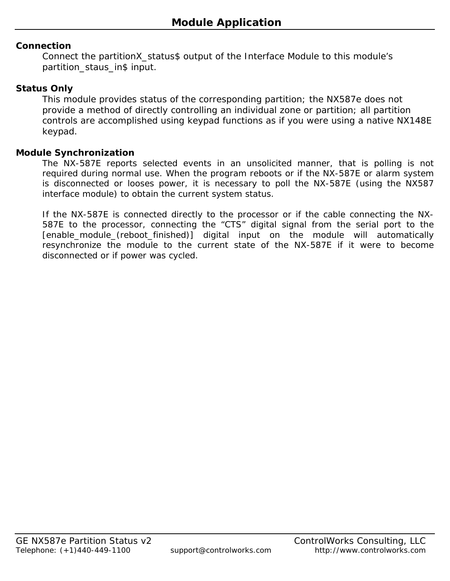## **Connection**

Connect the partitionX\_status\$ output of the Interface Module to this module's partition\_staus\_in\$ input.

## **Status Only**

This module provides status of the corresponding partition; the NX587e does not provide a method of directly controlling an individual zone or partition; all partition controls are accomplished using keypad functions as if you were using a native NX148E keypad.

## **Module Synchronization**

The NX-587E reports selected events in an unsolicited manner, that is polling is not required during normal use. When the program reboots or if the NX-587E or alarm system is disconnected or looses power, it is necessary to poll the NX-587E (using the NX587 interface module) to obtain the current system status.

If the NX-587E is connected directly to the processor or if the cable connecting the NX-587E to the processor, connecting the "CTS" digital signal from the serial port to the [enable\_module\_(reboot\_finished)] digital input on the module will automatically resynchronize the module to the current state of the NX-587E if it were to become disconnected or if power was cycled.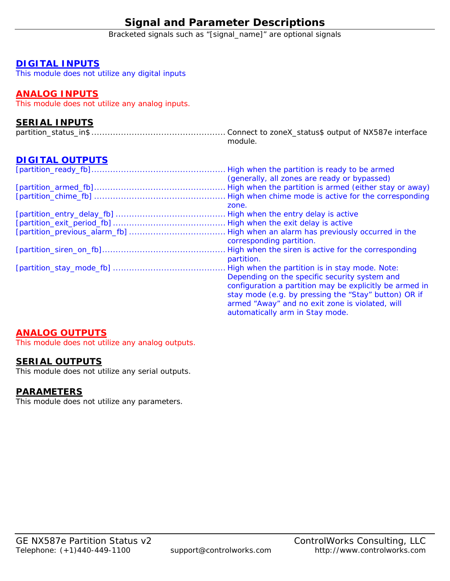# **Signal and Parameter Descriptions**

Bracketed signals such as "[signal\_name]" are optional signals

#### **DIGITAL INPUTS**

This module does not utilize any digital inputs

## **ANALOG INPUTS**

This module does not utilize any analog inputs.

## **SERIAL INPUTS**

|  | module. |  |  |
|--|---------|--|--|

# **DIGITAL OUTPUTS**

| High when the partition is ready to be armed            |
|---------------------------------------------------------|
| (generally, all zones are ready or bypassed)            |
| High when the partition is armed (either stay or away)  |
|                                                         |
| zone.                                                   |
| High when the entry delay is active                     |
|                                                         |
| High when an alarm has previously occurred in the       |
| corresponding partition.                                |
| High when the siren is active for the corresponding     |
| partition.                                              |
| High when the partition is in stay mode. Note:          |
| Depending on the specific security system and           |
| configuration a partition may be explicitly be armed in |
| stay mode (e.g. by pressing the "Stay" button) OR if    |
| armed "Away" and no exit zone is violated, will         |
| automatically arm in Stay mode.                         |

## **ANALOG OUTPUTS**

This module does not utilize any analog outputs.

#### **SERIAL OUTPUTS**

This module does not utilize any serial outputs.

#### **PARAMETERS**

This module does not utilize any parameters.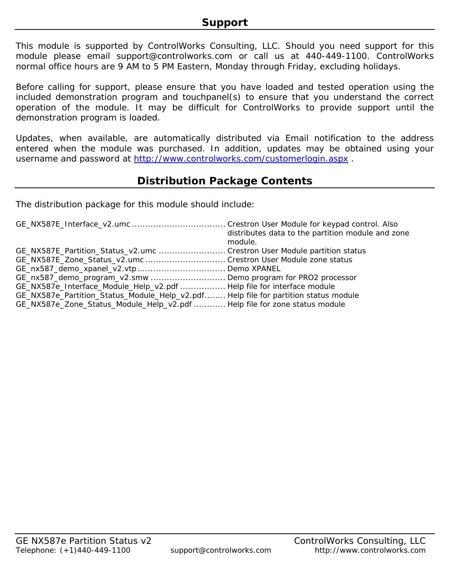This module is supported by ControlWorks Consulting, LLC. Should you need support for this module please email support@controlworks.com or call us at 440-449-1100. ControlWorks normal office hours are 9 AM to 5 PM Eastern, Monday through Friday, excluding holidays.

Before calling for support, please ensure that you have loaded and tested operation using the included demonstration program and touchpanel(s) to ensure that you understand the correct operation of the module. It may be difficult for ControlWorks to provide support until the demonstration program is loaded.

Updates, when available, are automatically distributed via Email notification to the address entered when the module was purchased. In addition, updates may be obtained using your username and password at http://www.controlworks.com/customerlogin.aspx .

# **Distribution Package Contents**

The distribution package for this module should include:

|                                                                                     | distributes data to the partition module and zone<br>module. |
|-------------------------------------------------------------------------------------|--------------------------------------------------------------|
| GE_NX587E_Partition_Status_v2.umc  Crestron User Module partition status            |                                                              |
| GE_NX587E_Zone_Status_v2.umc  Crestron User Module zone status                      |                                                              |
|                                                                                     |                                                              |
| GE_nx587_demo_program_v2.smw Demo program for PRO2 processor                        |                                                              |
| GE_NX587e_Interface_Module_Help_v2.pdf  Help file for interface module              |                                                              |
| GE_NX587e_Partition_Status_Module_Help_v2.pdf Help file for partition status module |                                                              |
| GE_NX587e_Zone_Status_Module_Help_v2.pdf  Help file for zone status module          |                                                              |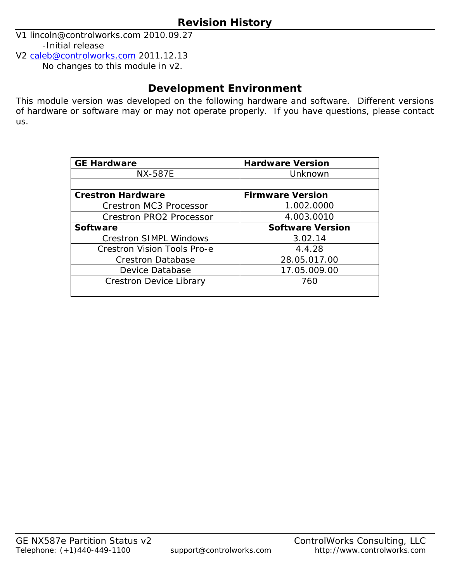V1 lincoln@controlworks.com 2010.09.27 -Initial release

V2 caleb@controlworks.com 2011.12.13 No changes to this module in v2.

# **Development Environment**

This module version was developed on the following hardware and software. Different versions of hardware or software may or may not operate properly. If you have questions, please contact us.

| <b>GE Hardware</b>                 | <b>Hardware Version</b> |  |  |
|------------------------------------|-------------------------|--|--|
| <b>NX-587E</b>                     | Unknown                 |  |  |
|                                    |                         |  |  |
| <b>Crestron Hardware</b>           | <b>Firmware Version</b> |  |  |
| <b>Crestron MC3 Processor</b>      | 1.002.0000              |  |  |
| <b>Crestron PRO2 Processor</b>     | 4.003.0010              |  |  |
| <b>Software</b>                    | <b>Software Version</b> |  |  |
| <b>Crestron SIMPL Windows</b>      | 3.02.14                 |  |  |
| <b>Crestron Vision Tools Pro-e</b> | 4.4.28                  |  |  |
| <b>Crestron Database</b>           | 28.05.017.00            |  |  |
| Device Database                    | 17.05.009.00            |  |  |
| <b>Crestron Device Library</b>     | 760                     |  |  |
|                                    |                         |  |  |